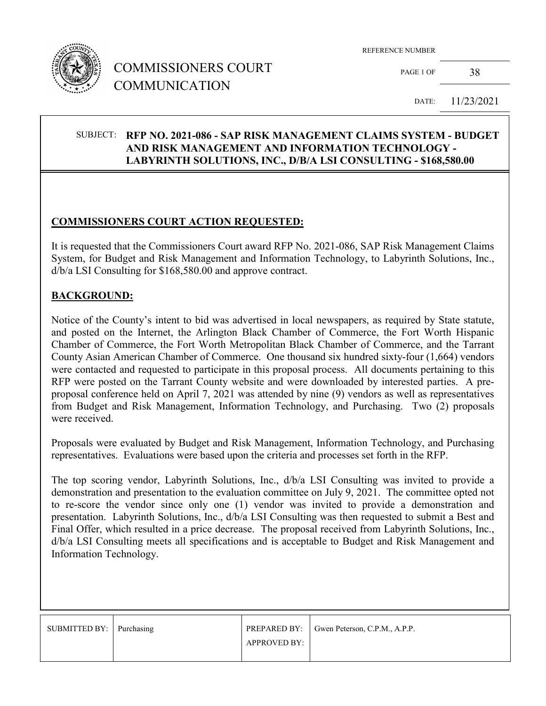

## COMMISSIONERS COURT COMMUNICATION

REFERENCE NUMBER

PAGE 1 OF 38

DATE: 11/23/2021

#### SUBJECT: **RFP NO. 2021-086 - SAP RISK MANAGEMENT CLAIMS SYSTEM - BUDGET AND RISK MANAGEMENT AND INFORMATION TECHNOLOGY - LABYRINTH SOLUTIONS, INC., D/B/A LSI CONSULTING - \$168,580.00**

### **COMMISSIONERS COURT ACTION REQUESTED:**

It is requested that the Commissioners Court award RFP No. 2021-086, SAP Risk Management Claims System, for Budget and Risk Management and Information Technology, to Labyrinth Solutions, Inc., d/b/a LSI Consulting for \$168,580.00 and approve contract.

#### **BACKGROUND:**

Notice of the County's intent to bid was advertised in local newspapers, as required by State statute, and posted on the Internet, the Arlington Black Chamber of Commerce, the Fort Worth Hispanic Chamber of Commerce, the Fort Worth Metropolitan Black Chamber of Commerce, and the Tarrant County Asian American Chamber of Commerce. One thousand six hundred sixty-four (1,664) vendors were contacted and requested to participate in this proposal process. All documents pertaining to this RFP were posted on the Tarrant County website and were downloaded by interested parties. A preproposal conference held on April 7, 2021 was attended by nine (9) vendors as well as representatives from Budget and Risk Management, Information Technology, and Purchasing. Two (2) proposals were received.

Proposals were evaluated by Budget and Risk Management, Information Technology, and Purchasing representatives. Evaluations were based upon the criteria and processes set forth in the RFP.

The top scoring vendor, Labyrinth Solutions, Inc., d/b/a LSI Consulting was invited to provide a demonstration and presentation to the evaluation committee on July 9, 2021. The committee opted not to re-score the vendor since only one (1) vendor was invited to provide a demonstration and presentation. Labyrinth Solutions, Inc., d/b/a LSI Consulting was then requested to submit a Best and Final Offer, which resulted in a price decrease. The proposal received from Labyrinth Solutions, Inc., d/b/a LSI Consulting meets all specifications and is acceptable to Budget and Risk Management and Information Technology.

| SUBMITTED BY:   Purchasing |                     | <b>PREPARED BY:</b> Gwen Peterson, C.P.M., A.P.P. |
|----------------------------|---------------------|---------------------------------------------------|
|                            | <b>APPROVED BY:</b> |                                                   |